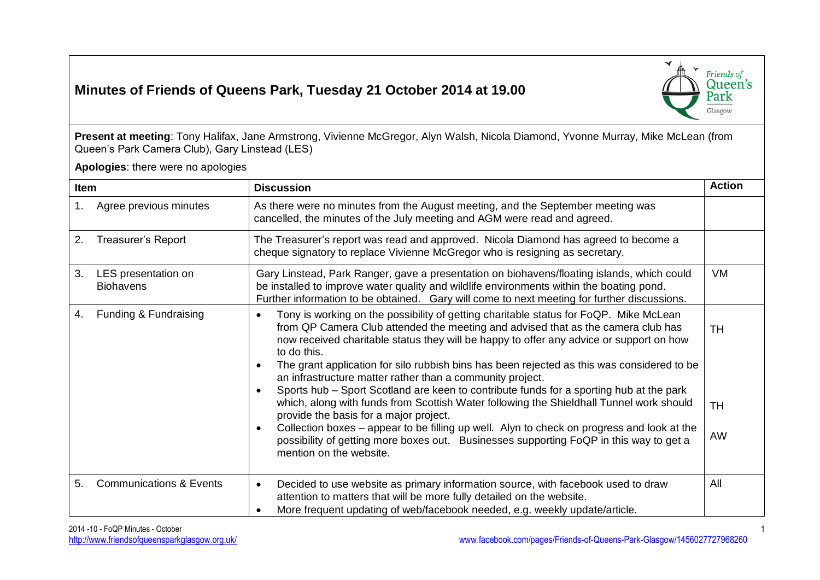## **Minutes of Friends of Queens Park, Tuesday 21 October 2014 at 19.00**



**Present at meeting**: Tony Halifax, Jane Armstrong, Vivienne McGregor, Alyn Walsh, Nicola Diamond, Yvonne Murray, Mike McLean (from Queen's Park Camera Club), Gary Linstead (LES)

**Apologies**: there were no apologies

| Item |                                         | <b>Discussion</b>                                                                                                                                                                                                                                                                                                                                                                                                                                                                                                                                                                                                                                                                                                                                                                                                                                                                                                                                     | <b>Action</b>                |
|------|-----------------------------------------|-------------------------------------------------------------------------------------------------------------------------------------------------------------------------------------------------------------------------------------------------------------------------------------------------------------------------------------------------------------------------------------------------------------------------------------------------------------------------------------------------------------------------------------------------------------------------------------------------------------------------------------------------------------------------------------------------------------------------------------------------------------------------------------------------------------------------------------------------------------------------------------------------------------------------------------------------------|------------------------------|
| 1.   | Agree previous minutes                  | As there were no minutes from the August meeting, and the September meeting was<br>cancelled, the minutes of the July meeting and AGM were read and agreed.                                                                                                                                                                                                                                                                                                                                                                                                                                                                                                                                                                                                                                                                                                                                                                                           |                              |
| 2.   | <b>Treasurer's Report</b>               | The Treasurer's report was read and approved. Nicola Diamond has agreed to become a<br>cheque signatory to replace Vivienne McGregor who is resigning as secretary.                                                                                                                                                                                                                                                                                                                                                                                                                                                                                                                                                                                                                                                                                                                                                                                   |                              |
| 3.   | LES presentation on<br><b>Biohavens</b> | Gary Linstead, Park Ranger, gave a presentation on biohavens/floating islands, which could<br>be installed to improve water quality and wildlife environments within the boating pond.<br>Further information to be obtained. Gary will come to next meeting for further discussions.                                                                                                                                                                                                                                                                                                                                                                                                                                                                                                                                                                                                                                                                 | <b>VM</b>                    |
| 4.   | Funding & Fundraising                   | Tony is working on the possibility of getting charitable status for FoQP. Mike McLean<br>$\bullet$<br>from QP Camera Club attended the meeting and advised that as the camera club has<br>now received charitable status they will be happy to offer any advice or support on how<br>to do this.<br>The grant application for silo rubbish bins has been rejected as this was considered to be<br>$\bullet$<br>an infrastructure matter rather than a community project.<br>Sports hub - Sport Scotland are keen to contribute funds for a sporting hub at the park<br>$\bullet$<br>which, along with funds from Scottish Water following the Shieldhall Tunnel work should<br>provide the basis for a major project.<br>Collection boxes – appear to be filling up well. Alyn to check on progress and look at the<br>$\bullet$<br>possibility of getting more boxes out. Businesses supporting FoQP in this way to get a<br>mention on the website. | <b>TH</b><br><b>TH</b><br>AW |
| 5.   | <b>Communications &amp; Events</b>      | Decided to use website as primary information source, with facebook used to draw<br>$\bullet$<br>attention to matters that will be more fully detailed on the website.<br>More frequent updating of web/facebook needed, e.g. weekly update/article.                                                                                                                                                                                                                                                                                                                                                                                                                                                                                                                                                                                                                                                                                                  | All                          |